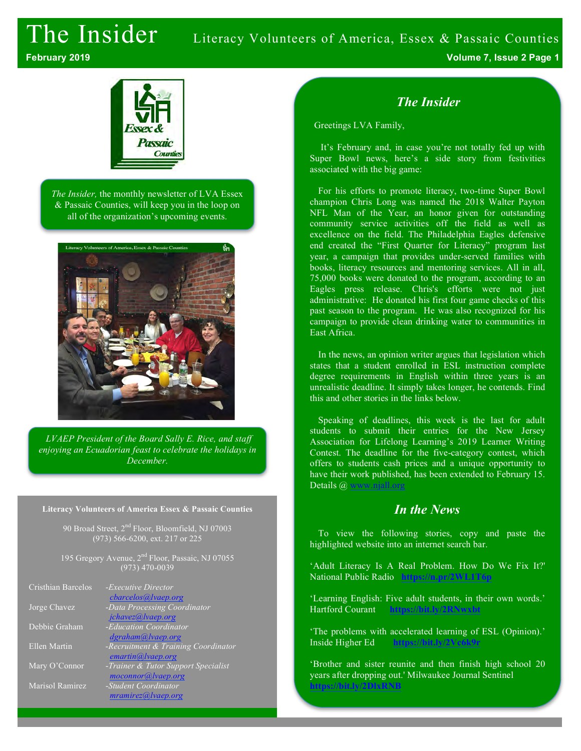# The Insider Literacy Volunteers of America, Essex & Passaic Counties

**February 2019 Volume 7, Issue 2 Page 1**



*The Insider,* the monthly newsletter of LVA Essex & Passaic Counties, will keep you in the loop on all of the organization's upcoming events.



*LVAEP President of the Board Sally E. Rice, and staff enjoying an Ecuadorian feast to celebrate the holidays in December.*

#### **Literacy Volunteers of America Essex & Passaic Counties**

90 Broad Street,  $2<sup>nd</sup>$  Floor, Bloomfield, NJ 07003 (973) 566-6200, ext. 217 or 225

195 Gregory Avenue, 2<sup>nd</sup> Floor, Passaic, NJ 07055 (973) 470-0039

| Cristhian Barcelos | - <i>Executive Director</i><br><i>cbarcelos@lvaep.org</i> |
|--------------------|-----------------------------------------------------------|
| Jorge Chavez       | -Data Processing Coordinator<br>jchavez@lvaep.org         |
| Debbie Graham      | -Education Coordinator                                    |
| Ellen Martin       | dgraham@lvaep.org<br>-Recruitment & Training Coordinator  |
| Mary O'Connor      | emartin@ vaep.org<br>-Trainer & Tutor Support Specialist  |
| Marisol Ramirez    | moconnor@lvaep.org<br>-Student Coordinator                |
|                    | mramirez@ vaep.org                                        |

### *The Insider*

Greetings LVA Family,

It's February and, in case you're not totally fed up with Super Bowl news, here's a side story from festivities associated with the big game:

For his efforts to promote literacy, two-time Super Bowl champion Chris Long was named the 2018 Walter Payton NFL Man of the Year, an honor given for outstanding community service activities off the field as well as excellence on the field. The Philadelphia Eagles defensive end created the "First Quarter for Literacy" program last year, a campaign that provides under-served families with books, literacy resources and mentoring services. All in all, 75,000 books were donated to the program, according to an Eagles press release. Chris's efforts were not just administrative: He donated his first four game checks of this past season to the program. He was also recognized for his campaign to provide clean drinking water to communities in East Africa.

In the news, an opinion writer argues that legislation which states that a student enrolled in ESL instruction complete degree requirements in English within three years is an unrealistic deadline. It simply takes longer, he contends. Find this and other stories in the links below.

Speaking of deadlines, this week is the last for adult students to submit their entries for the New Jersey Association for Lifelong Learning's 2019 Learner Writing Contest. The deadline for the five-category contest, which offers to students cash prices and a unique opportunity to have their work published, has been extended to February 15. Details @ www.njall.org

### *In the News*

To view the following stories, copy and paste the highlighted website into an internet search bar.

'Adult Literacy Is A Real Problem. How Do We Fix It?' National Public Radio **https://n.pr/2WL1T6p**

'Learning English: Five adult students, in their own words.' Hartford Courant **https://bit.ly/2RNwxbt**

'The problems with accelerated learning of ESL (Opinion).' Inside Higher Ed **https://bit.ly/2Vc6k9r**

'Brother and sister reunite and then finish high school 20 years after dropping out.' Milwaukee Journal Sentinel **https://bit.ly/2**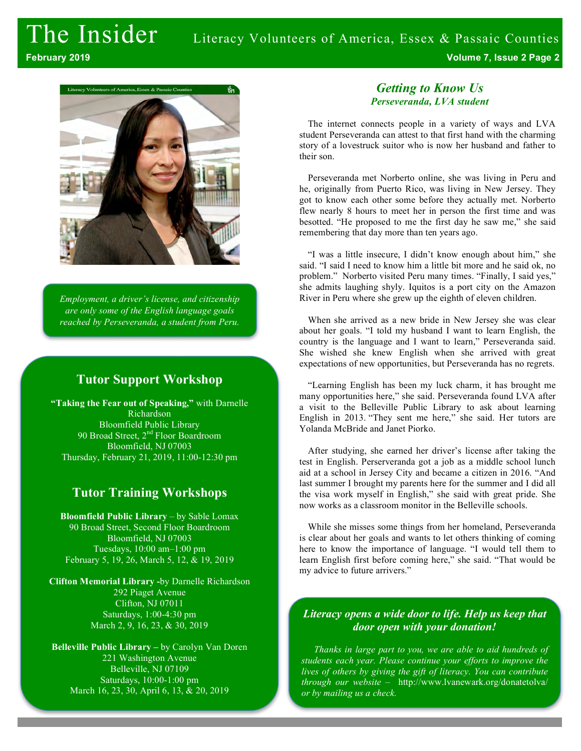**February 2019 Volume 7, Issue 2 Page 2**



*Employment, a driver's license, and citizenship are only some of the English language goals reached by Perseveranda, a student from Peru.*

# **Tutor Support Workshop**

**"Taking the Fear out of Speaking,"** with Darnelle Richardson Bloomfield Public Library 90 Broad Street, 2<sup>nd</sup> Floor Boardroom Bloomfield, NJ 07003 Thursday, February 21, 2019, 11:00-12:30 pm

# **Tutor Training Workshops**

**Bloomfield Public Library** – by Sable Lomax 90 Broad Street, Second Floor Boardroom Bloomfield, NJ 07003 Tuesdays, 10:00 am–1:00 pm February 5, 19, 26, March 5, 12, & 19, 2019

**Clifton Memorial Library -**by Darnelle Richardson 292 Piaget Avenue Clifton, NJ 07011 Saturdays, 1:00-4:30 pm March 2, 9, 16, 23, & 30, 2019

**Belleville Public Library –** by Carolyn Van Doren 221 Washington Avenue Belleville, NJ 07109 Saturdays, 10:00-1:00 pm March 16, 23, 30, April 6, 13, & 20, 2019

#### *Getting to Know Us Perseveranda, LVA student*

The internet connects people in a variety of ways and LVA student Perseveranda can attest to that first hand with the charming story of a lovestruck suitor who is now her husband and father to their son.

Perseveranda met Norberto online, she was living in Peru and he, originally from Puerto Rico, was living in New Jersey. They got to know each other some before they actually met. Norberto flew nearly 8 hours to meet her in person the first time and was besotted. "He proposed to me the first day he saw me," she said remembering that day more than ten years ago.

"I was a little insecure, I didn't know enough about him," she said. "I said I need to know him a little bit more and he said ok, no problem." Norberto visited Peru many times. "Finally, I said yes," she admits laughing shyly. Iquitos is a port city on the Amazon River in Peru where she grew up the eighth of eleven children.

When she arrived as a new bride in New Jersey she was clear about her goals. "I told my husband I want to learn English, the country is the language and I want to learn," Perseveranda said. She wished she knew English when she arrived with great expectations of new opportunities, but Perseveranda has no regrets.

"Learning English has been my luck charm, it has brought me many opportunities here," she said. Perseveranda found LVA after a visit to the Belleville Public Library to ask about learning English in 2013. "They sent me here," she said. Her tutors are Yolanda McBride and Janet Piorko.

After studying, she earned her driver's license after taking the test in English. Perserveranda got a job as a middle school lunch aid at a school in Jersey City and became a citizen in 2016. "And last summer I brought my parents here for the summer and I did all the visa work myself in English," she said with great pride. She now works as a classroom monitor in the Belleville schools.

While she misses some things from her homeland, Perseveranda is clear about her goals and wants to let others thinking of coming here to know the importance of language. "I would tell them to learn English first before coming here," she said. "That would be my advice to future arrivers."

#### *Literacy opens a wide door to life. Help us keep that door open with your donation!*

*Thanks in large part to you, we are able to aid hundreds of students each year. Please continue your efforts to improve the lives of others by giving the gift of literacy. You can contribute through our website* – http://www.lvanewark.org/donatetolva/ *or by mailing us a check.*